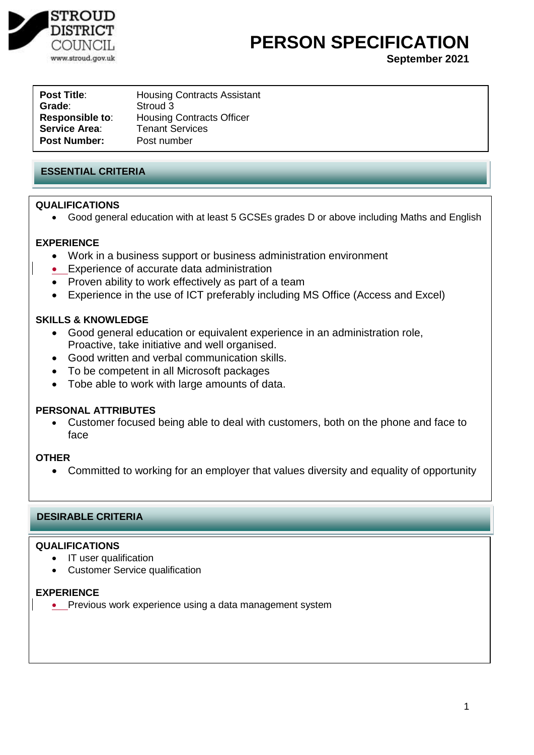

# **PERSON SPECIFICATION**

**September 2021**

| Post Title:            | <b>Housing Contracts Assistant</b> |
|------------------------|------------------------------------|
| <b>Grade:</b>          | Stroud 3                           |
| <b>Responsible to:</b> | <b>Housing Contracts Officer</b>   |
| Service Area:          | <b>Tenant Services</b>             |
| <b>Post Number:</b>    | Post number                        |
|                        |                                    |

# **ESSENTIAL CRITERIA**

## **QUALIFICATIONS**

Good general education with at least 5 GCSEs grades D or above including Maths and English

#### **EXPERIENCE**

- Work in a business support or business administration environment
- Experience of accurate data administration
- Proven ability to work effectively as part of a team
- Experience in the use of ICT preferably including MS Office (Access and Excel)

## **SKILLS & KNOWLEDGE**

- Good general education or equivalent experience in an administration role, Proactive, take initiative and well organised.
- Good written and verbal communication skills.
- To be competent in all Microsoft packages
- Tobe able to work with large amounts of data.

#### **PERSONAL ATTRIBUTES**

 Customer focused being able to deal with customers, both on the phone and face to face

#### **OTHER**

Committed to working for an employer that values diversity and equality of opportunity

# **DESIRABLE CRITERIA**

### **QUALIFICATIONS**

- IT user qualification
- Customer Service qualification

#### **EXPERIENCE**

• Previous work experience using a data management system